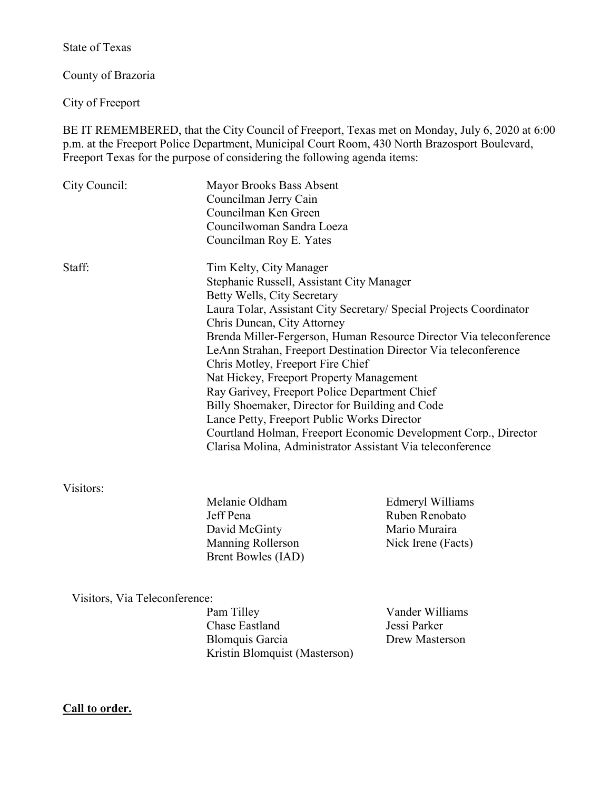State of Texas

County of Brazoria

City of Freeport

BE IT REMEMBERED, that the City Council of Freeport, Texas met on Monday, July 6, 2020 at 6:00 p.m. at the Freeport Police Department, Municipal Court Room, 430 North Brazosport Boulevard, Freeport Texas for the purpose of considering the following agenda items:

| City Council: | Mayor Brooks Bass Absent<br>Councilman Jerry Cain<br>Councilman Ken Green<br>Councilwoman Sandra Loeza<br>Councilman Roy E. Yates                                                                                                                                                                                                                                                                                                                                                                                                                                                                                                                                                                                        |                                                     |
|---------------|--------------------------------------------------------------------------------------------------------------------------------------------------------------------------------------------------------------------------------------------------------------------------------------------------------------------------------------------------------------------------------------------------------------------------------------------------------------------------------------------------------------------------------------------------------------------------------------------------------------------------------------------------------------------------------------------------------------------------|-----------------------------------------------------|
| Staff:        | Tim Kelty, City Manager<br>Stephanie Russell, Assistant City Manager<br>Betty Wells, City Secretary<br>Laura Tolar, Assistant City Secretary/ Special Projects Coordinator<br>Chris Duncan, City Attorney<br>Brenda Miller-Fergerson, Human Resource Director Via teleconference<br>LeAnn Strahan, Freeport Destination Director Via teleconference<br>Chris Motley, Freeport Fire Chief<br>Nat Hickey, Freeport Property Management<br>Ray Garivey, Freeport Police Department Chief<br>Billy Shoemaker, Director for Building and Code<br>Lance Petty, Freeport Public Works Director<br>Courtland Holman, Freeport Economic Development Corp., Director<br>Clarisa Molina, Administrator Assistant Via teleconference |                                                     |
| Visitors:     | Melanie Oldham<br>Jeff Pena<br>David McGinty                                                                                                                                                                                                                                                                                                                                                                                                                                                                                                                                                                                                                                                                             | Edmeryl Williams<br>Ruben Renobato<br>Mario Muraira |

Visitors, Via Teleconference:

Pam Tilley Vander Williams Chase Eastland Jessi Parker Blomquis Garcia Drew Masterson Kristin Blomquist (Masterson)

Brent Bowles (IAD)

Manning Rollerson Nick Irene (Facts)

**Call to order.**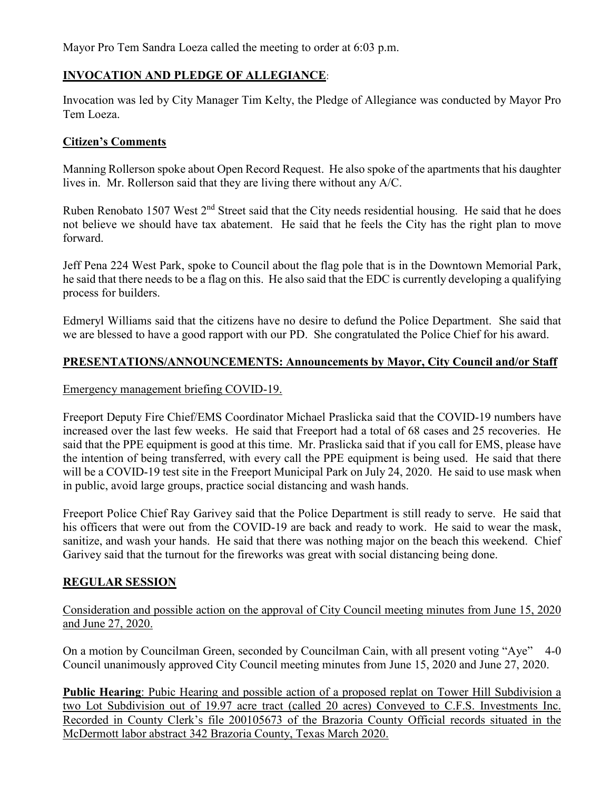Mayor Pro Tem Sandra Loeza called the meeting to order at 6:03 p.m.

# **INVOCATION AND PLEDGE OF ALLEGIANCE**:

Invocation was led by City Manager Tim Kelty, the Pledge of Allegiance was conducted by Mayor Pro Tem Loeza.

### **Citizen's Comments**

Manning Rollerson spoke about Open Record Request. He also spoke of the apartments that his daughter lives in. Mr. Rollerson said that they are living there without any A/C.

Ruben Renobato 1507 West 2<sup>nd</sup> Street said that the City needs residential housing. He said that he does not believe we should have tax abatement. He said that he feels the City has the right plan to move forward.

Jeff Pena 224 West Park, spoke to Council about the flag pole that is in the Downtown Memorial Park, he said that there needs to be a flag on this. He also said that the EDC is currently developing a qualifying process for builders.

Edmeryl Williams said that the citizens have no desire to defund the Police Department. She said that we are blessed to have a good rapport with our PD. She congratulated the Police Chief for his award.

### **PRESENTATIONS/ANNOUNCEMENTS: Announcements by Mayor, City Council and/or Staff**

### Emergency management briefing COVID-19.

Freeport Deputy Fire Chief/EMS Coordinator Michael Praslicka said that the COVID-19 numbers have increased over the last few weeks. He said that Freeport had a total of 68 cases and 25 recoveries. He said that the PPE equipment is good at this time. Mr. Praslicka said that if you call for EMS, please have the intention of being transferred, with every call the PPE equipment is being used. He said that there will be a COVID-19 test site in the Freeport Municipal Park on July 24, 2020. He said to use mask when in public, avoid large groups, practice social distancing and wash hands.

Freeport Police Chief Ray Garivey said that the Police Department is still ready to serve. He said that his officers that were out from the COVID-19 are back and ready to work. He said to wear the mask, sanitize, and wash your hands. He said that there was nothing major on the beach this weekend. Chief Garivey said that the turnout for the fireworks was great with social distancing being done.

## **REGULAR SESSION**

Consideration and possible action on the approval of City Council meeting minutes from June 15, 2020 and June 27, 2020.

On a motion by Councilman Green, seconded by Councilman Cain, with all present voting "Aye" 4-0 Council unanimously approved City Council meeting minutes from June 15, 2020 and June 27, 2020.

**Public Hearing**: Pubic Hearing and possible action of a proposed replat on Tower Hill Subdivision a two Lot Subdivision out of 19.97 acre tract (called 20 acres) Conveyed to C.F.S. Investments Inc. Recorded in County Clerk's file 200105673 of the Brazoria County Official records situated in the McDermott labor abstract 342 Brazoria County, Texas March 2020.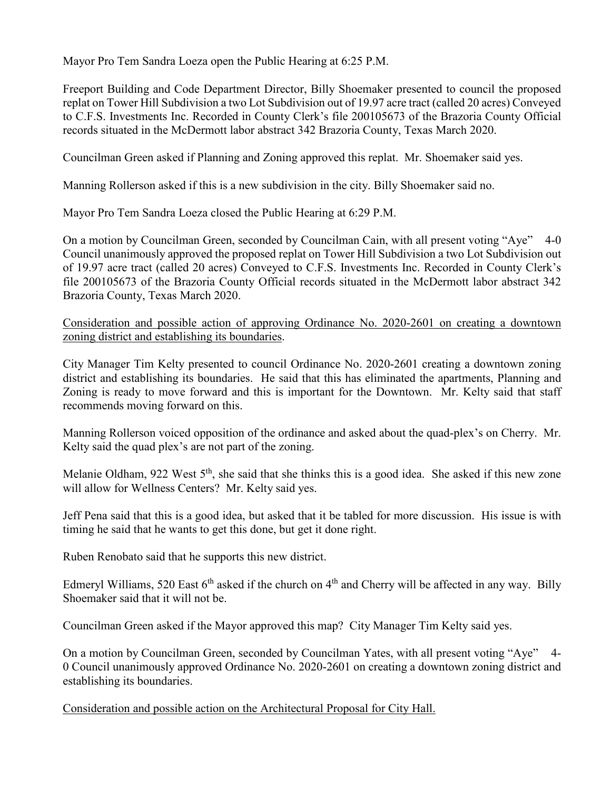Mayor Pro Tem Sandra Loeza open the Public Hearing at 6:25 P.M.

Freeport Building and Code Department Director, Billy Shoemaker presented to council the proposed replat on Tower Hill Subdivision a two Lot Subdivision out of 19.97 acre tract (called 20 acres) Conveyed to C.F.S. Investments Inc. Recorded in County Clerk's file 200105673 of the Brazoria County Official records situated in the McDermott labor abstract 342 Brazoria County, Texas March 2020.

Councilman Green asked if Planning and Zoning approved this replat. Mr. Shoemaker said yes.

Manning Rollerson asked if this is a new subdivision in the city. Billy Shoemaker said no.

Mayor Pro Tem Sandra Loeza closed the Public Hearing at 6:29 P.M.

On a motion by Councilman Green, seconded by Councilman Cain, with all present voting "Aye" 4-0 Council unanimously approved the proposed replat on Tower Hill Subdivision a two Lot Subdivision out of 19.97 acre tract (called 20 acres) Conveyed to C.F.S. Investments Inc. Recorded in County Clerk's file 200105673 of the Brazoria County Official records situated in the McDermott labor abstract 342 Brazoria County, Texas March 2020.

Consideration and possible action of approving Ordinance No. 2020-2601 on creating a downtown zoning district and establishing its boundaries.

City Manager Tim Kelty presented to council Ordinance No. 2020-2601 creating a downtown zoning district and establishing its boundaries. He said that this has eliminated the apartments, Planning and Zoning is ready to move forward and this is important for the Downtown. Mr. Kelty said that staff recommends moving forward on this.

Manning Rollerson voiced opposition of the ordinance and asked about the quad-plex's on Cherry. Mr. Kelty said the quad plex's are not part of the zoning.

Melanie Oldham, 922 West 5<sup>th</sup>, she said that she thinks this is a good idea. She asked if this new zone will allow for Wellness Centers? Mr. Kelty said yes.

Jeff Pena said that this is a good idea, but asked that it be tabled for more discussion. His issue is with timing he said that he wants to get this done, but get it done right.

Ruben Renobato said that he supports this new district.

Edmeryl Williams, 520 East  $6<sup>th</sup>$  asked if the church on  $4<sup>th</sup>$  and Cherry will be affected in any way. Billy Shoemaker said that it will not be.

Councilman Green asked if the Mayor approved this map? City Manager Tim Kelty said yes.

On a motion by Councilman Green, seconded by Councilman Yates, with all present voting "Aye" 4- 0 Council unanimously approved Ordinance No. 2020-2601 on creating a downtown zoning district and establishing its boundaries.

Consideration and possible action on the Architectural Proposal for City Hall.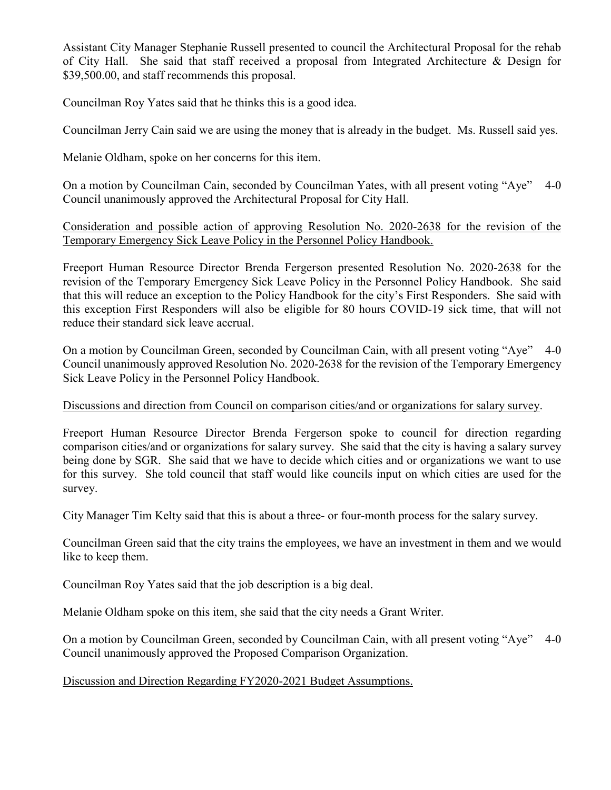Assistant City Manager Stephanie Russell presented to council the Architectural Proposal for the rehab of City Hall. She said that staff received a proposal from Integrated Architecture & Design for \$39,500.00, and staff recommends this proposal.

Councilman Roy Yates said that he thinks this is a good idea.

Councilman Jerry Cain said we are using the money that is already in the budget. Ms. Russell said yes.

Melanie Oldham, spoke on her concerns for this item.

On a motion by Councilman Cain, seconded by Councilman Yates, with all present voting "Aye" 4-0 Council unanimously approved the Architectural Proposal for City Hall.

Consideration and possible action of approving Resolution No. 2020-2638 for the revision of the Temporary Emergency Sick Leave Policy in the Personnel Policy Handbook.

Freeport Human Resource Director Brenda Fergerson presented Resolution No. 2020-2638 for the revision of the Temporary Emergency Sick Leave Policy in the Personnel Policy Handbook. She said that this will reduce an exception to the Policy Handbook for the city's First Responders. She said with this exception First Responders will also be eligible for 80 hours COVID-19 sick time, that will not reduce their standard sick leave accrual.

On a motion by Councilman Green, seconded by Councilman Cain, with all present voting "Aye" Council unanimously approved Resolution No. 2020-2638 for the revision of the Temporary Emergency Sick Leave Policy in the Personnel Policy Handbook.

## Discussions and direction from Council on comparison cities/and or organizations for salary survey.

Freeport Human Resource Director Brenda Fergerson spoke to council for direction regarding comparison cities/and or organizations for salary survey. She said that the city is having a salary survey being done by SGR. She said that we have to decide which cities and or organizations we want to use for this survey. She told council that staff would like councils input on which cities are used for the survey.

City Manager Tim Kelty said that this is about a three- or four-month process for the salary survey.

Councilman Green said that the city trains the employees, we have an investment in them and we would like to keep them.

Councilman Roy Yates said that the job description is a big deal.

Melanie Oldham spoke on this item, she said that the city needs a Grant Writer.

On a motion by Councilman Green, seconded by Councilman Cain, with all present voting "Aye" 4-0 Council unanimously approved the Proposed Comparison Organization.

Discussion and Direction Regarding FY2020-2021 Budget Assumptions.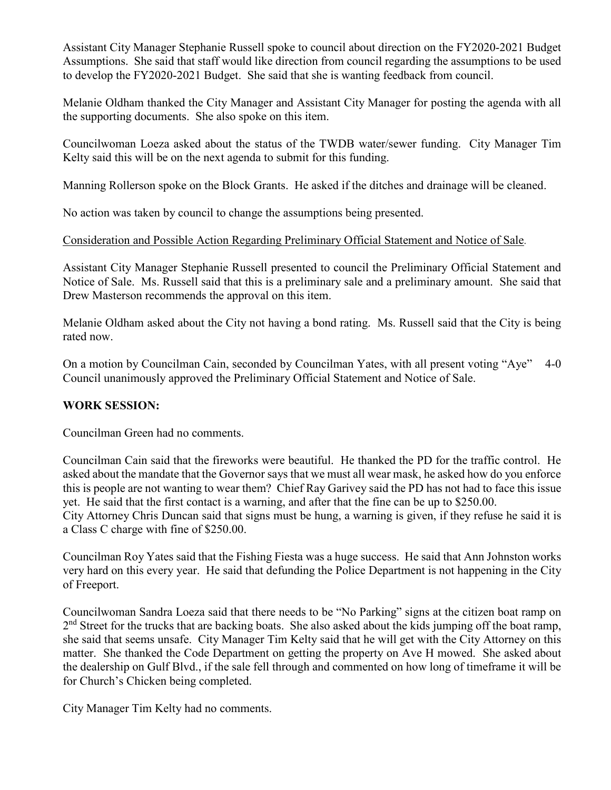Assistant City Manager Stephanie Russell spoke to council about direction on the FY2020-2021 Budget Assumptions. She said that staff would like direction from council regarding the assumptions to be used to develop the FY2020-2021 Budget. She said that she is wanting feedback from council.

Melanie Oldham thanked the City Manager and Assistant City Manager for posting the agenda with all the supporting documents. She also spoke on this item.

Councilwoman Loeza asked about the status of the TWDB water/sewer funding. City Manager Tim Kelty said this will be on the next agenda to submit for this funding.

Manning Rollerson spoke on the Block Grants. He asked if the ditches and drainage will be cleaned.

No action was taken by council to change the assumptions being presented.

## Consideration and Possible Action Regarding Preliminary Official Statement and Notice of Sale.

Assistant City Manager Stephanie Russell presented to council the Preliminary Official Statement and Notice of Sale. Ms. Russell said that this is a preliminary sale and a preliminary amount. She said that Drew Masterson recommends the approval on this item.

Melanie Oldham asked about the City not having a bond rating. Ms. Russell said that the City is being rated now.

On a motion by Councilman Cain, seconded by Councilman Yates, with all present voting "Aye" 4-0 Council unanimously approved the Preliminary Official Statement and Notice of Sale.

## **WORK SESSION:**

Councilman Green had no comments.

Councilman Cain said that the fireworks were beautiful. He thanked the PD for the traffic control. He asked about the mandate that the Governor says that we must all wear mask, he asked how do you enforce this is people are not wanting to wear them? Chief Ray Garivey said the PD has not had to face this issue yet. He said that the first contact is a warning, and after that the fine can be up to \$250.00. City Attorney Chris Duncan said that signs must be hung, a warning is given, if they refuse he said it is a Class C charge with fine of \$250.00.

Councilman Roy Yates said that the Fishing Fiesta was a huge success. He said that Ann Johnston works very hard on this every year. He said that defunding the Police Department is not happening in the City of Freeport.

Councilwoman Sandra Loeza said that there needs to be "No Parking" signs at the citizen boat ramp on  $2<sup>nd</sup>$  Street for the trucks that are backing boats. She also asked about the kids jumping off the boat ramp, she said that seems unsafe. City Manager Tim Kelty said that he will get with the City Attorney on this matter. She thanked the Code Department on getting the property on Ave H mowed. She asked about the dealership on Gulf Blvd., if the sale fell through and commented on how long of timeframe it will be for Church's Chicken being completed.

City Manager Tim Kelty had no comments.